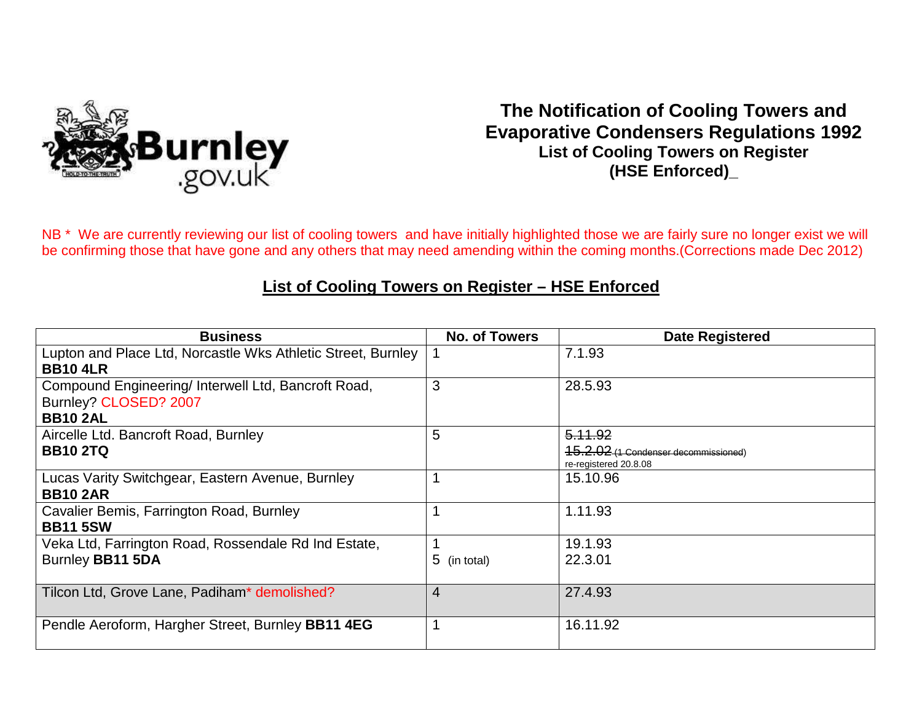

## **The Notification of Cooling Towers and Evaporative Condensers Regulations 1992 List of Cooling Towers on Register (HSE Enforced)\_**

NB<sup>\*</sup> We are currently reviewing our list of cooling towers and have initially highlighted those we are fairly sure no longer exist we will be confirming those that have gone and any others that may need amending within the coming months.(Corrections made Dec 2012)

## **List of Cooling Towers on Register – HSE Enforced**

| <b>Business</b>                                                                 | No. of Towers | <b>Date Registered</b>               |
|---------------------------------------------------------------------------------|---------------|--------------------------------------|
| Lupton and Place Ltd, Norcastle Wks Athletic Street, Burnley<br><b>BB10 4LR</b> |               | 7.1.93                               |
|                                                                                 |               |                                      |
| Compound Engineering/ Interwell Ltd, Bancroft Road,                             | 3             | 28.5.93                              |
| Burnley? CLOSED? 2007                                                           |               |                                      |
| <b>BB10 2AL</b>                                                                 |               |                                      |
| Aircelle Ltd. Bancroft Road, Burnley                                            | 5             | 5.11.92                              |
| <b>BB10 2TQ</b>                                                                 |               | 15.2.02 (1 Condenser decommissioned) |
|                                                                                 |               | re-registered 20.8.08                |
| Lucas Varity Switchgear, Eastern Avenue, Burnley                                |               | 15.10.96                             |
| <b>BB10 2AR</b>                                                                 |               |                                      |
| Cavalier Bemis, Farrington Road, Burnley                                        |               | 1.11.93                              |
| <b>BB11 5SW</b>                                                                 |               |                                      |
| Veka Ltd, Farrington Road, Rossendale Rd Ind Estate,                            |               | 19.1.93                              |
| Burnley BB11 5DA                                                                | 5 (in total)  | 22.3.01                              |
|                                                                                 |               |                                      |
| Tilcon Ltd, Grove Lane, Padiham* demolished?                                    | 4             | 27.4.93                              |
|                                                                                 |               |                                      |
| Pendle Aeroform, Hargher Street, Burnley BB11 4EG                               |               | 16.11.92                             |
|                                                                                 |               |                                      |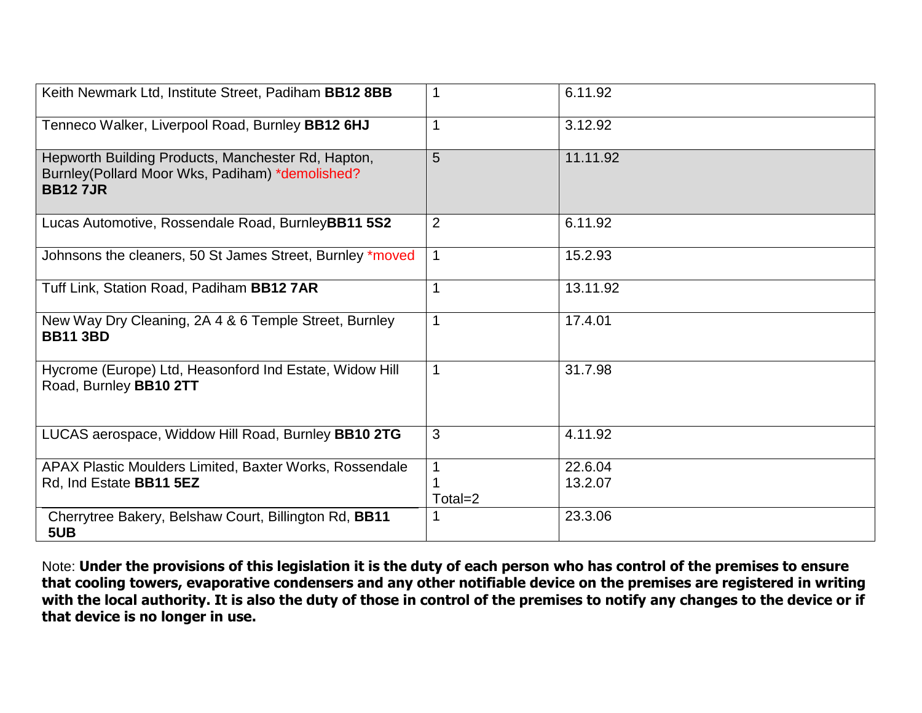| Keith Newmark Ltd, Institute Street, Padiham BB12 8BB                                                                   | 1       | 6.11.92            |
|-------------------------------------------------------------------------------------------------------------------------|---------|--------------------|
| Tenneco Walker, Liverpool Road, Burnley BB12 6HJ                                                                        |         | 3.12.92            |
| Hepworth Building Products, Manchester Rd, Hapton,<br>Burnley(Pollard Moor Wks, Padiham) *demolished?<br><b>BB127JR</b> | 5       | 11.11.92           |
| Lucas Automotive, Rossendale Road, BurnleyBB11 5S2                                                                      | 2       | 6.11.92            |
| Johnsons the cleaners, 50 St James Street, Burnley *moved                                                               |         | 15.2.93            |
| Tuff Link, Station Road, Padiham BB12 7AR                                                                               | 1       | 13.11.92           |
| New Way Dry Cleaning, 2A 4 & 6 Temple Street, Burnley<br><b>BB11 3BD</b>                                                |         | 17.4.01            |
| Hycrome (Europe) Ltd, Heasonford Ind Estate, Widow Hill<br>Road, Burnley BB10 2TT                                       |         | 31.7.98            |
| LUCAS aerospace, Widdow Hill Road, Burnley BB10 2TG                                                                     | 3       | 4.11.92            |
| APAX Plastic Moulders Limited, Baxter Works, Rossendale<br>Rd, Ind Estate BB11 5EZ                                      | Total=2 | 22.6.04<br>13.2.07 |
| Cherrytree Bakery, Belshaw Court, Billington Rd, BB11<br>5UB                                                            |         | 23.3.06            |

Note: **Under the provisions of this legislation it is the duty of each person who has control of the premises to ensure that cooling towers, evaporative condensers and any other notifiable device on the premises are registered in writing with the local authority. It is also the duty of those in control of the premises to notify any changes to the device or if that device is no longer in use.**